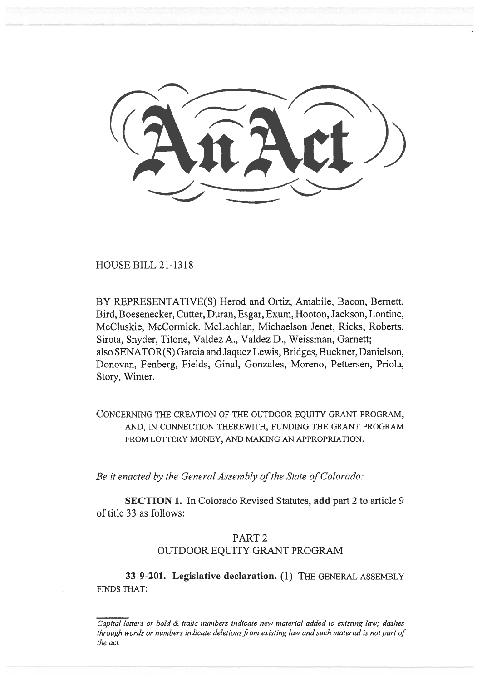HOUSE BILL 21-1318

BY REPRESENTATIVE(S) Herod and Ortiz, Amabile, Bacon, Bernett, Bird, Boesenecker, Cutter, Duran, Esgar, Exum, Hooton, Jackson, Lontine, McCluskie, McCormick, McLachlan, Michaelson Jenet, Ricks, Roberts, Sirota, Snyder, Titone, Valdez A., Valdez D., Weissman, Garnett; also SENATOR(S) Garcia and Jaquez Lewis, Bridges, Buckner, Danielson, Donovan, Fenberg, Fields, Ginal, Gonzales, Moreno, Pettersen, Priola, Story, Winter.

CONCERNING THE CREATION OF THE OUTDOOR EQUITY GRANT PROGRAM, AND, IN CONNECTION THEREWITH, FUNDING THE GRANT PROGRAM FROM LOTTERY MONEY, AND MAKING AN APPROPRIATION.

Be it enacted by the General Assembly of the State of Colorado:

SECTION 1. In Colorado Revised Statutes, add part 2 to article 9 of title 33 as follows:

## PART 2 OUTDOOR EQUITY GRANT PROGRAM

33-9-201. Legislative declaration. (1) THE GENERAL ASSEMBLY FINDS THAT:

 $\overline{Capital}$  letters or bold  $\&$  italic numbers indicate new material added to existing law; dashes through words or numbers indicate deletions from existing law and such material is not part of the act.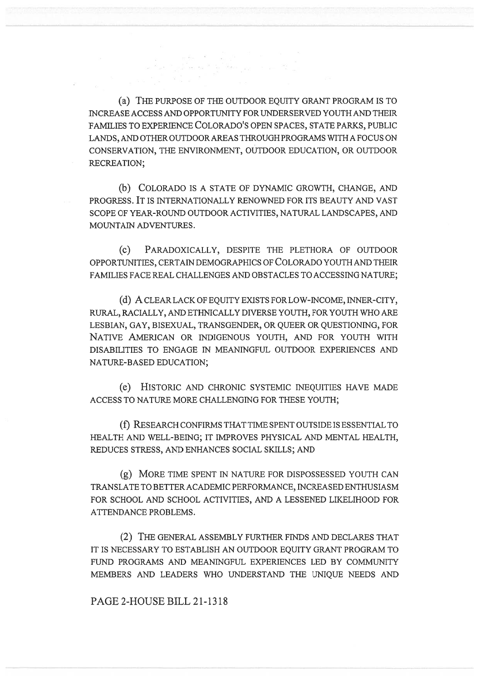(a) THE PURPOSE OF THE OUTDOOR EQUITY GRANT PROGRAM IS TO INCREASE ACCESS AND OPPORTUNITY FOR UNDERSERVED YOUTH AND THEIR FAMILIES TO EXPERIENCE COLORADO'S OPEN SPACES, STATE PARKS, PUBLIC LANDS, AND OTHER OUTDOOR AREAS THROUGH PROGRAMS WITH A FOCUS ON CONSERVATION, THE ENVIRONMENT, OUTDOOR EDUCATION, OR OUTDOOR RECREATION;

r de Karl Stergen (\* 1930)<br>1920 - Johann Carl Stergen (\* 1930)

(b) COLORADO IS A STATE OF DYNAMIC GROWTH, CHANGE, AND PROGRESS. IT IS INTERNATIONALLY RENOWNED FOR ITS BEAUTY AND VAST SCOPE OF YEAR-ROUND OUTDOOR ACTIVITIES, NATURAL LANDSCAPES, AND MOUNTAIN ADVENTURES.

(c) PARADOXICALLY, DESPITE THE PLETHORA OF OUTDOOR OPPORTUNITIES, CERTAIN DEMOGRAPHICS OF COLORADO YOUTH AND THEIR FAMILIES FACE REAL CHALLENGES AND OBSTACLES TO ACCESSING NATURE;

(d) A CLEAR LACK OF EQUITY EXISTS FOR LOW-INCOME, INNER-CITY, RURAL, RACIALLY, AND ETHNICALLY DIVERSE YOUTH, FOR YOUTH WHO ARE LESBIAN, GAY, BISEXUAL, TRANSGENDER, OR QUEER OR QUESTIONING, FOR NATIVE AMERICAN OR INDIGENOUS YOUTH, AND FOR YOUTH WITH DISABILITIES TO ENGAGE IN MEANINGFUL OUTDOOR EXPERIENCES AND NATURE-BASED EDUCATION;

(e) HISTORIC AND CHRONIC SYSTEMIC INEQUITIES HAVE MADE ACCESS TO NATURE MORE CHALLENGING FOR THESE YOUTH;

(f) RESEARCH CONFIRMS THAT TIME SPENT OUTSIDE IS ESSENTIAL TO HEALTH AND WELL-BEING; IT IMPROVES PHYSICAL AND MENTAL HEALTH, REDUCES STRESS, AND ENHANCES SOCIAL SKILLS; AND

(g) MORE TIME SPENT IN NATURE FOR DISPOSSESSED YOUTH CAN TRANSLATE TO BETTER ACADEMIC PERFORMANCE, INCREASED ENTHUSIASM FOR SCHOOL AND SCHOOL ACTIVITIES, AND A LESSENED LIKELIHOOD FOR ATTENDANCE PROBLEMS.

(2) THE GENERAL ASSEMBLY FURTHER FINDS AND DECLARES THAT IT IS NECESSARY TO ESTABLISH AN OUTDOOR EQUITY GRANT PROGRAM TO FUND PROGRAMS AND MEANINGFUL EXPERIENCES LED BY COMMUNITY MEMBERS AND LEADERS WHO UNDERSTAND THE UNIQUE NEEDS AND

PAGE 2-HOUSE BILL 21-1318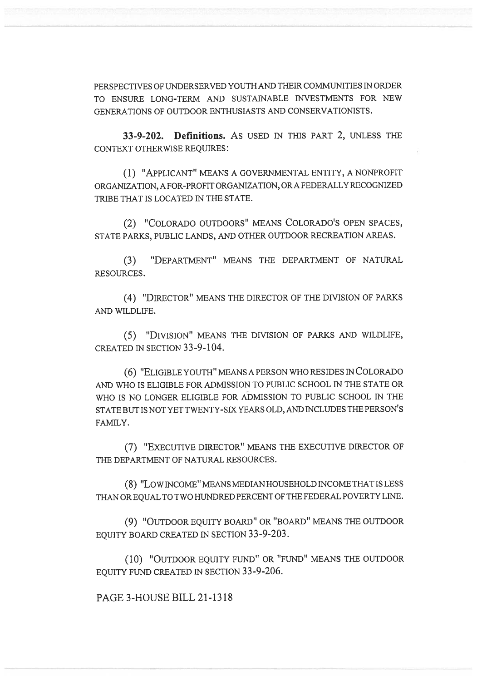PERSPECTIVES OF UNDERSERVED YOUTH AND THEIR COMMUNITIES IN ORDER TO ENSURE LONG-TERM AND SUSTAINABLE INVESTMENTS FOR NEW GENERATIONS OF OUTDOOR ENTHUSIASTS AND CONSERVATIONISTS.

33-9-202. Definitions. AS USED IN THIS PART 2, UNLESS THE CONTEXT OTHERWISE REQUIRES:

(1) "APPLICANT" MEANS A GOVERNMENTAL ENTITY, A NONPROFIT ORGANIZATION, A FOR-PROFIT ORGANIZATION, OR A FEDERALLY RECOGNIZED TRIBE THAT IS LOCATED IN THE STATE.

(2) "COLORADO OUTDOORS" MEANS COLORADO'S OPEN SPACES, STATE PARKS, PUBLIC LANDS, AND OTHER OUTDOOR RECREATION AREAS.

(3) "DEPARTMENT" MEANS THE DEPARTMENT OF NATURAL RESOURCES.

(4) "DIRECTOR" MEANS THE DIRECTOR OF THE DIVISION OF PARKS AND WILDLIFE.

(5) "DIVISION" MEANS THE DIVISION OF PARKS AND WILDLIFE, CREATED IN SECTION 33-9-104.

(6) "ELIGIBLE YOUTH" MEANS A PERSON WHO RESIDES IN COLORADO AND WHO IS ELIGIBLE FOR ADMISSION TO PUBLIC SCHOOL IN THE STATE OR WHO IS NO LONGER ELIGIBLE FOR ADMISSION TO PUBLIC SCHOOL IN THE STATE BUT IS NOT YET TWENTY-SIX YEARS OLD, AND INCLUDES THE PERSON'S FAMILY.

(7) "EXECUTIVE DIRECTOR" MEANS THE EXECUTIVE DIRECTOR OF THE DEPARTMENT OF NATURAL RESOURCES.

(8) "LOW INCOME" MEANS MEDIAN HOUSEHOLD INCOME THAT IS LESS THAN OR EQUAL TO TWO HUNDRED PERCENT OF THE FEDERAL POVERTY LINE.

(9) "OUTDOOR EQUITY BOARD" OR "BOARD" MEANS THE OUTDOOR EQUITY BOARD CREATED IN SECTION 33-9-203.

(10) "OUTDOOR EQUITY FUND" OR "FUND" MEANS THE OUTDOOR EQUITY FUND CREATED IN SECTION 33-9-206.

PAGE 3-HOUSE BILL 21-1318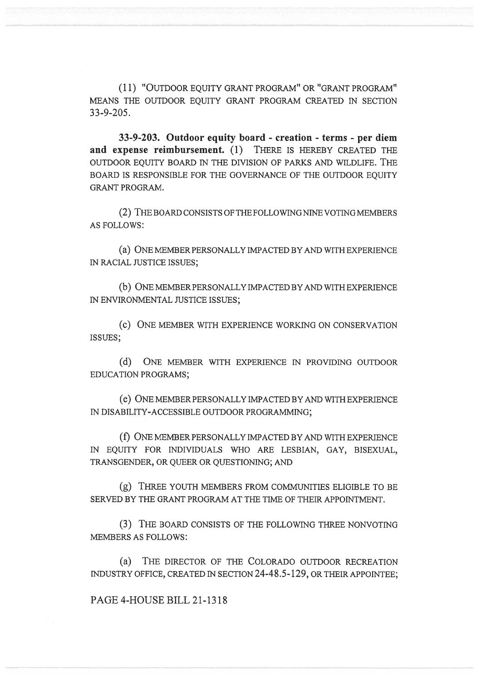(11) "OUTDOOR EQUITY GRANT PROGRAM" OR "GRANT PROGRAM" MEANS THE OUTDOOR EQUITY GRANT PROGRAM CREATED IN SECTION 33-9-205.

33-9-203. Outdoor equity board - creation - terms - per diem and expense reimbursement. (1) THERE IS HEREBY CREATED THE OUTDOOR EQUITY BOARD IN THE DIVISION OF PARKS AND WILDLIFE. THE BOARD IS RESPONSIBLE FOR THE GOVERNANCE OF THE OUTDOOR EQUITY GRANT PROGRAM.

(2) THE BOARD CONSISTS OF THE FOLLOWING NINE VOTING MEMBERS AS FOLLOWS:

(a) ONE MEMBER PERSONALLY IMPACTED BY AND WITH EXPERIENCE IN RACIAL JUSTICE ISSUES;

(b) ONE MEMBER PERSONALLY IMPACTED BY AND WITH EXPERIENCE IN ENVIRONMENTAL JUSTICE ISSUES;

(c) ONE MEMBER WITH EXPERIENCE WORKING ON CONSERVATION ISSUES;

(d) ONE MEMBER WITH EXPERIENCE IN PROVIDING OUTDOOR EDUCATION PROGRAMS;

(e) ONE MEMBER PERSONALLY IMPACTED BY AND WITH EXPERIENCE IN DISABILITY-ACCESSIBLE OUTDOOR PROGRAMMING;

(f) ONE MEMBER PERSONALLY IMPACTED BY AND WITH EXPERIENCE IN EQUITY FOR INDIVIDUALS WHO ARE LESBIAN, GAY, BISEXUAL, TRANSGENDER, OR QUEER OR QUESTIONING; AND

(g) THREE YOUTH MEMBERS FROM COMMUNITIES ELIGIBLE TO BE SERVED BY THE GRANT PROGRAM AT THE TIME OF THEIR APPOINTMENT.

(3) THE BOARD CONSISTS OF THE FOLLOWING THREE NONVOTING MEMBERS AS FOLLOWS:

(a) THE DIRECTOR OF THE COLORADO OUTDOOR RECREATION INDUSTRY OFFICE, CREATED IN SECTION 24-48.5-129, OR THEIR APPOINTEE;

PAGE 4-HOUSE BILL 21-1318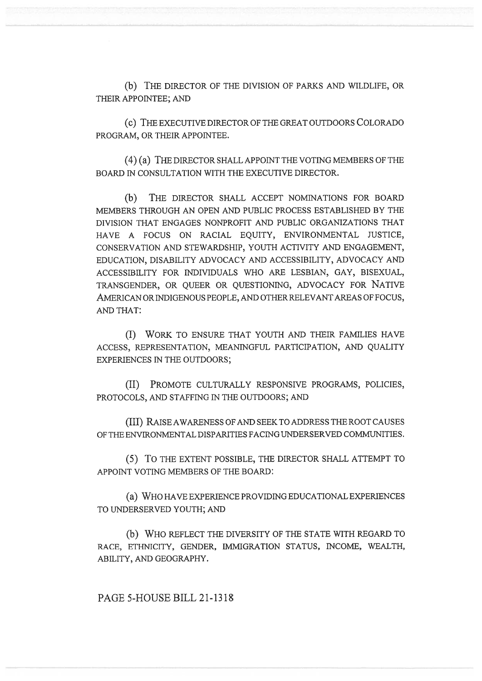(b) THE DIRECTOR OF THE DIVISION OF PARKS AND WILDLIFE, OR THEIR APPOINTEE; AND

(C) THE EXECUTIVE DIRECTOR OF THE GREAT OUTDOORS COLORADO PROGRAM, OR THEIR APPOINTEE.

(4) (a) THE DIRECTOR SHALL APPOINT THE VOTING MEMBERS OF THE BOARD IN CONSULTATION WITH THE EXECUTIVE DIRECTOR.

(b) THE DIRECTOR SHALL ACCEPT NOMINATIONS FOR BOARD MEMBERS THROUGH AN OPEN AND PUBLIC PROCESS ESTABLISHED BY THE DIVISION THAT ENGAGES NONPROFIT AND PUBLIC ORGANIZATIONS THAT HAVE A FOCUS ON RACIAL EQUITY, ENVIRONMENTAL JUSTICE, CONSERVATION AND STEWARDSHIP, YOUTH ACTIVITY AND ENGAGEMENT, EDUCATION, DISABILITY ADVOCACY AND ACCESSIBILITY, ADVOCACY AND ACCESSIBILITY FOR INDIVIDUALS WHO ARE LESBIAN, GAY, BISEXUAL, TRANSGENDER, OR QUEER OR QUESTIONING, ADVOCACY FOR NATIVE AMERICAN OR INDIGENOUS PEOPLE, AND OTHER RELEVANT AREAS OF FOCUS, AND THAT:

(I) WORK TO ENSURE THAT YOUTH AND THEIR FAMILIES HAVE ACCESS, REPRESENTATION, MEANINGFUL PARTICIPATION, AND QUALITY EXPERIENCES IN THE OUTDOORS;

(II) PROMOTE CULTURALLY RESPONSIVE PROGRAMS, POLICIES, PROTOCOLS, AND STAFFING IN THE OUTDOORS; AND

(III) RAISE AWARENESS OF AND SEEK TO ADDRESS THE ROOT CAUSES OF THE ENVIRONMENTAL DISPARITIES FACING UNDERSERVED COMMUNITIES.

(5) TO THE EXTENT POSSIBLE, THE DIRECTOR SHALL ATTEMPT TO APPOINT VOTING MEMBERS OF THE BOARD:

(a) WHO HAVE EXPERIENCE PROVIDING EDUCATIONAL EXPERIENCES TO UNDERSERVED YOUTH; AND

(b) WHO REFLECT THE DIVERSITY OF THE STATE WITH REGARD TO RACE, ETHNICITY, GENDER, IMMIGRATION STATUS, INCOME, WEALTH, ABILITY, AND GEOGRAPHY.

PAGE 5-HOUSE BILL 21-1318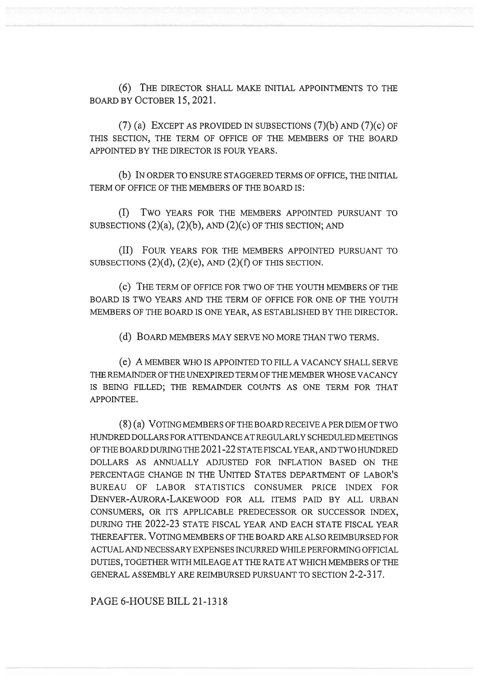(6) THE DIRECTOR SHALL MAKE INITIAL APPOINTMENTS TO THE BOARD BY OCTOBER 15, 2021.

(7) (a) EXCEPT AS PROVIDED IN SUBSECTIONS  $(7)(b)$  AND  $(7)(c)$  OF THIS SECTION, THE TERM OF OFFICE OF THE MEMBERS OF THE BOARD APPOINTED BY THE DIRECTOR IS FOUR YEARS.

(b) IN ORDER TO ENSURE STAGGERED TERMS OF OFFICE, THE INITIAL TERM OF OFFICE OF THE MEMBERS OF THE BOARD IS:

(I) Two YEARS FOR THE MEMBERS APPOINTED PURSUANT TO SUBSECTIONS  $(2)(a)$ ,  $(2)(b)$ , AND  $(2)(c)$  OF THIS SECTION; AND

(II) FOUR YEARS FOR THE MEMBERS APPOINTED PURSUANT TO SUBSECTIONS  $(2)(d)$ ,  $(2)(e)$ , AND  $(2)(f)$  OF THIS SECTION.

(c) THE TERM OF OFFICE FOR TWO OF THE YOUTH MEMBERS OF THE BOARD IS TWO YEARS AND THE TERM OF OFFICE FOR ONE OF THE YOUTH MEMBERS OF THE BOARD IS ONE YEAR, AS ESTABLISHED BY THE DIRECTOR.

(d) BOARD MEMBERS MAY SERVE NO MORE THAN TWO TERMS.

(e) A MEMBER WHO IS APPOINTED TO FILL A VACANCY SHALL SERVE THE REMAINDER OF THE UNEXPIRED TERM OF THE MEMBER WHOSE VACANCY IS BEING FILLED; THE REMAINDER COUNTS AS ONE TERM FOR THAT APPOINTEE.

(8) (a) VOTING MEMBERS OF THE BOARD RECEIVE A PER DIEM OF TWO HUNDRED DOLLARS FOR ATTENDANCE AT REGULARLY SCHEDULED MEETINGS OF THE BOARD DURING THE 2021-22 STATE FISCAL YEAR, AND TWO HUNDRED DOLLARS AS ANNUALLY ADJUSTED FOR INFLATION BASED ON THE PERCENTAGE CHANGE IN THE UNITED STATES DEPARTMENT OF LABOR'S BUREAU OF LABOR STATISTICS CONSUMER PRICE INDEX FOR DENVER-AURORA-LAKEWOOD FOR ALL ITEMS PAID BY ALL URBAN CONSUMERS, OR ITS APPLICABLE PREDECESSOR OR SUCCESSOR INDEX, DURING THE 2022-23 STATE FISCAL YEAR AND EACH STATE FISCAL YEAR THEREAFTER. VOTING MEMBERS OF THE BOARD ARE ALSO REIMBURSED FOR ACTUAL AND NECESSARY EXPENSES INCURRED WHILE PERFORMING OFFICIAL DUTIES, TOGETHER WITH MILEAGE AT THE RATE AT WHICH MEMBERS OF THE GENERAL ASSEMBLY ARE REIMBURSED PURSUANT TO SECTION 2-2-317.

PAGE 6-HOUSE BILL 21-1318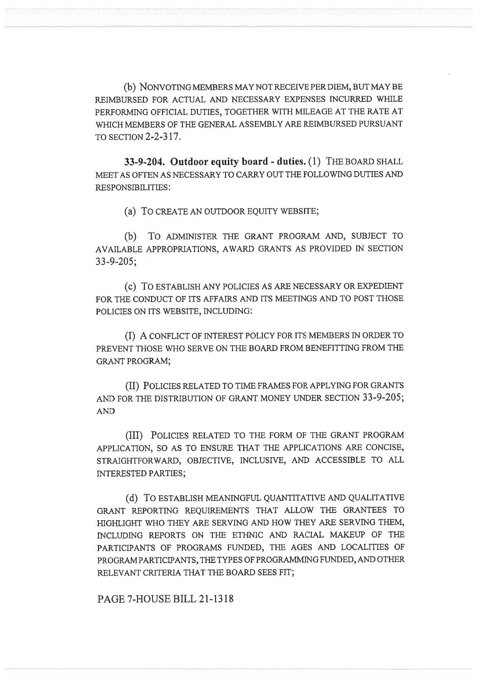(b) NONVOTING MEMBERS MAY NOT RECEIVE PER DIEM, BUT MAY BE REIMBURSED FOR ACTUAL AND NECESSARY EXPENSES INCURRED WHILE PERFORMING OFFICIAL DUTIES, TOGETHER WITH MILEAGE AT THE RATE AT WHICH MEMBERS OF THE GENERAL ASSEMBLY ARE REIMBURSED PURSUANT TO SECTION 2-2-317.

33-9-204. Outdoor equity board - duties. (1) THE BOARD SHALL MEET AS OFTEN AS NECESSARY TO CARRY OUT THE FOLLOWING DUTIES AND RESPONSIBILITIES:

(a) To CREATE AN OUTDOOR EQUITY WEBSITE;

(b) To ADMINISTER THE GRANT PROGRAM AND, SUBJECT TO AVAILABLE APPROPRIATIONS, AWARD GRANTS AS PROVIDED IN SECTION 33-9-205;

(c) To ESTABLISH ANY POLICIES AS ARE NECESSARY OR EXPEDIENT FOR THE CONDUCT OF ITS AFFAIRS AND ITS MEETINGS AND TO POST THOSE POLICIES ON ITS WEBSITE, INCLUDING:

(I) A CONFLICT OF INTEREST POLICY FOR ITS MEMBERS IN ORDER TO PREVENT THOSE WHO SERVE ON THE BOARD FROM BENEFITTING FROM THE GRANT PROGRAM;

(II) POLICIES RELATED TO TIME FRAMES FOR APPLYING FOR GRANTS AND FOR THE DISTRIBUTION OF GRANT MONEY UNDER SECTION 33-9-205; AND

(III) POLICIES RELATED TO THE FORM OF THE GRANT PROGRAM APPLICATION, SO AS TO ENSURE THAT THE APPLICATIONS ARE CONCISE, STRAIGHTFORWARD, OBJECTIVE, INCLUSIVE, AND ACCESSIBLE TO ALL INTERESTED PARTIES;

(d) To ESTABLISH MEANINGFUL QUANTITATIVE AND QUALITATIVE GRANT REPORTING REQUIREMENTS THAT ALLOW THE GRANTEES TO HIGHLIGHT WHO THEY ARE SERVING AND HOW THEY ARE SERVING THEM, INCLUDING REPORTS ON THE ETHNIC AND RACIAL MAKEUP OF THE PARTICIPANTS OF PROGRAMS FUNDED, THE AGES AND LOCALITIES OF PROGRAM PARTICIPANTS, THE TYPES OF PROGRAMMING FUNDED, AND OTHER RELEVANT CRITERIA THAT THE BOARD SEES FIT;

PAGE 7-HOUSE BILL 21-1318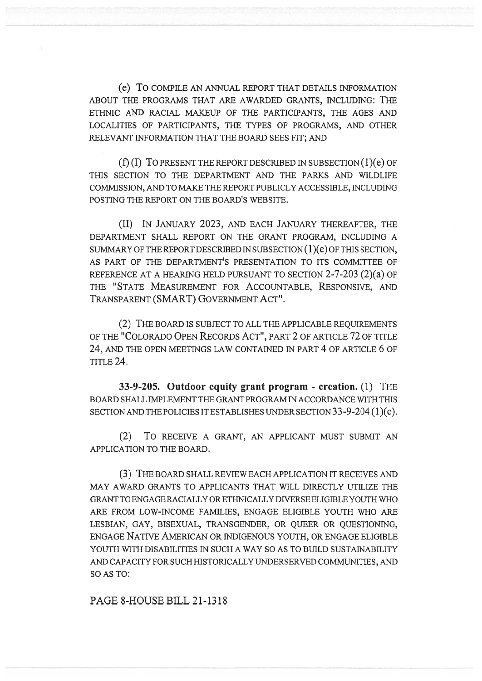(e) To COMPILE AN ANNUAL REPORT THAT DETAILS INFORMATION ABOUT THE PROGRAMS THAT ARE AWARDED GRANTS, INCLUDING: THE ETHNIC AND RACIAL MAKEUP OF THE PARTICIPANTS, THE AGES AND LOCALITIES OF PARTICIPANTS, THE TYPES OF PROGRAMS, AND OTHER RELEVANT INFORMATION THAT THE BOARD SEES FIT; AND

(f) (I) To PRESENT THE REPORT DESCRIBED IN SUBSECTION (1)(e) OF THIS SECTION TO THE DEPARTMENT AND THE PARKS AND WILDLIFE COMMISSION, AND TO MAKE THE REPORT PUBLICLY ACCESSIBLE, INCLUDING POSTING THE REPORT ON THE BOARD'S WEBSITE.

(II) IN JANUARY 2023, AND EACH JANUARY THEREAFTER, THE DEPARTMENT SHALL REPORT ON THE GRANT PROGRAM, INCLUDING A SUMMARY OF THE REPORT DESCRIBED IN SUBSECTION (1)(e) OF THIS SECTION, AS PART OF THE DEPARTMENT'S PRESENTATION TO ITS COMMITTEE OF REFERENCE AT A HEARING HELD PURSUANT TO SECTION 2-7-203 (2)(a) OF THE "STATE MEASUREMENT FOR ACCOUNTABLE, RESPONSIVE, AND TRANSPARENT (SMART) GOVERNMENT ACT".

(2) THE BOARD IS SUBJECT TO ALL THE APPLICABLE REQUIREMENTS OF THE "COLORADO OPEN RECORDS ACT", PART 2 OF ARTICLE 72 OF TITLE 24, AND THE OPEN MEETINGS LAW CONTAINED IN PART 4 OF ARTICLE 6 OF  $TTITER 24.$ 

33-9-205. Outdoor equity grant program - creation. (1) THE BOARD SHALL IMPLEMENT THE GRANT PROGRAM IN ACCORDANCE WITH THIS SECTION AND THE POLICIES IT ESTABLISHES UNDER SECTION 33-9-204 (1)(c).

(2) To RECEIVE A GRANT, AN APPLICANT MUST SUBMIT AN APPLICATION TO THE BOARD.

(3) THE BOARD SHALL REVIEW EACH APPLICATION IT RECEIVES AND MAY AWARD GRANTS TO APPLICANTS THAT WILL DIRECTLY UTILIZE THE GRANT TO ENGAGE RACIALLY OR ETHNICALLY DIVERSE ELIGIBLE YOUTH WHO ARE FROM LOW-INCOME FAMILIES, ENGAGE ELIGIBLE YOUTH WHO ARE LESBIAN, GAY, BISEXUAL, TRANSGENDER, OR QUEER OR QUESTIONING, ENGAGE NATIVE AMERICAN OR INDIGENOUS YOUTH, OR ENGAGE ELIGIBLE YOUTH WITH DISABILITIES IN SUCH A WAY SO AS TO BUILD SUSTAINABILITY AND CAPACITY FOR SUCH HISTORICALLY UNDERSERVED COMMUNITIES, AND SO AS TO:

PAGE 8-HOUSE BILL 21-1318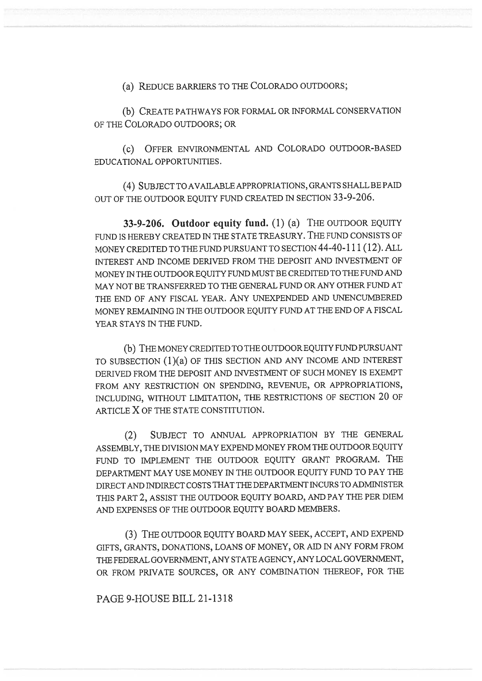(a) REDUCE BARRIERS TO THE COLORADO OUTDOORS;

(b) CREATE PATHWAYS FOR FORMAL OR INFORMAL CONSERVATION OF THE COLORADO OUTDOORS; OR

(c) OFFER ENVIRONMENTAL AND COLORADO OUTDOOR-BASED EDUCATIONAL OPPORTUNITIES.

(4) SUBJECT TO AVAILABLE APPROPRIATIONS, GRANTS SHALL BE PAID OUT OF THE OUTDOOR EQUITY FUND CREATED IN SECTION 33-9-206.

33-9-206. Outdoor equity fund. (1) (a) THE OUTDOOR EQUITY FUND IS HEREBY CREATED IN THE STATE TREASURY. THE FUND CONSISTS OF MONEY CREDITED TO THE FUND PURSUANT TO SECTION 44-40-111 (12). ALL INTEREST AND INCOME DERIVED FROM THE DEPOSIT AND INVESTMENT OF MONEY IN THE OUTDOOR EQUITY FUND MUST BE CREDITED TO THE FUND AND MAY NOT BE TRANSFERRED TO THE GENERAL FUND OR ANY OTHER FUND AT THE END OF ANY FISCAL YEAR. ANY UNEXPENDED AND UNENCUMBERED MONEY REMAINING IN THE OUTDOOR EQUITY FUND AT THE END OF A FISCAL YEAR STAYS IN THE FUND.

(b) THE MONEY CREDITED TO THE OUTDOOR EQUITY FUND PURSUANT TO SUBSECTION (1)(a) OF THIS SECTION AND ANY INCOME AND INTEREST DERIVED FROM THE DEPOSIT AND INVESTMENT OF SUCH MONEY IS EXEMPT FROM ANY RESTRICTION ON SPENDING, REVENUE, OR APPROPRIATIONS, INCLUDING, WITHOUT LIMITATION, THE RESTRICTIONS OF SECTION 20 OF ARTICLE X OF THE STATE CONSTITUTION.

(2) SUBJECT TO ANNUAL APPROPRIATION BY THE GENERAL ASSEMBLY, THE DIVISION MAY EXPEND MONEY FROM THE OUTDOOR EQUITY FUND TO IMPLEMENT THE OUTDOOR EQUITY GRANT PROGRAM. THE DEPARTMENT MAY USE MONEY IN THE OUTDOOR EQUITY FUND TO PAY THE DIRECT AND INDIRECT COSTS THAT THE DEPARTMENT INCURS TO ADMINISTER THIS PART 2, ASSIST THE OUTDOOR EQUITY BOARD, AND PAY THE PER DIEM AND EXPENSES OF THE OUTDOOR EQUITY BOARD MEMBERS.

(3) THE OUTDOOR EQUITY BOARD MAY SEEK, ACCEPT, AND EXPEND GIFTS, GRANTS, DONATIONS, LOANS OF MONEY, OR AID IN ANY FORM FROM THE FEDERAL GOVERNMENT, ANY STATE AGENCY, ANY LOCAL GOVERNMENT, OR FROM PRIVATE SOURCES, OR ANY COMBINATION THEREOF, FOR THE

## PAGE 9-HOUSE BILL 21-1318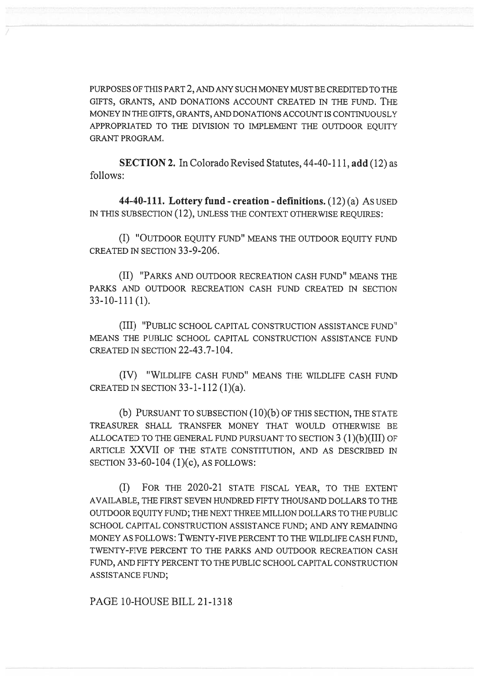PURPOSES OF THIS PART 2, AND ANY SUCH MONEY MUST BE CREDITED TO THE GIFTS, GRANTS, AND DONATIONS ACCOUNT CREATED IN THE FUND. THE MONEY IN THE GIFTS, GRANTS, AND DONATIONS ACCOUNT IS CONTINUOUSLY APPROPRIATED TO THE DIVISION TO IMPLEMENT THE OUTDOOR EQUITY GRANT PROGRAM.

SECTION 2. In Colorado Revised Statutes, 44-40-111, add (12) as follows:

44-40-111. Lottery fund - creation - definitions. (12) (a) As USED IN THIS SUBSECTION (12), UNLESS THE CONTEXT OTHERWISE REQUIRES:

(I) "OUTDOOR EQUITY FUND" MEANS THE OUTDOOR EQUITY FUND CREATED IN SECTION 33-9-206.

(II) "PARKS AND OUTDOOR RECREATION CASH FUND" MEANS THE PARKS AND OUTDOOR RECREATION CASH FUND CREATED IN SECTION 33-10-111 (1).

(III) "PUBLIC SCHOOL CAPITAL CONSTRUCTION ASSISTANCE FUND" MEANS THE PUBLIC SCHOOL CAPITAL CONSTRUCTION ASSISTANCE FUND CREATED IN SECTION 22-43.7-104.

(IV) "WILDLIFE CASH FUND" MEANS THE WILDLIFE CASH FUND CREATED IN SECTION  $33-1-112(1)(a)$ .

(b) PURSUANT TO SUBSECTION (10)(b) OF THIS SECTION, THE STATE TREASURER SHALL TRANSFER MONEY THAT WOULD OTHERWISE BE ALLOCATED TO THE GENERAL FUND PURSUANT TO SECTION 3 (1)(b)(III) OF ARTICLE XXVII OF THE STATE CONSTITUTION, AND AS DESCRIBED IN SECTION 33-60-104 (1)(c), AS FOLLOWS:

(I) FOR THE 2020-21 STATE FISCAL YEAR, TO THE EXTENT AVAILABLE, THE FIRST SEVEN HUNDRED FIFTY THOUSAND DOLLARS TO THE OUTDOOR EQUITY FUND; THE NEXT THREE MILLION DOLLARS TO THE PUBLIC SCHOOL CAPITAL CONSTRUCTION ASSISTANCE FUND; AND ANY REMAINING MONEY AS FOLLOWS: TWENTY-FIVE PERCENT TO THE WILDLIFE CASH FUND, TWENTY-FIVE PERCENT TO THE PARKS AND OUTDOOR RECREATION CASH FUND, AND FIFTY PERCENT TO THE PUBLIC SCHOOL CAPITAL CONSTRUCTION ASSISTANCE FUND;

PAGE 10-HOUSE BILL 21-1318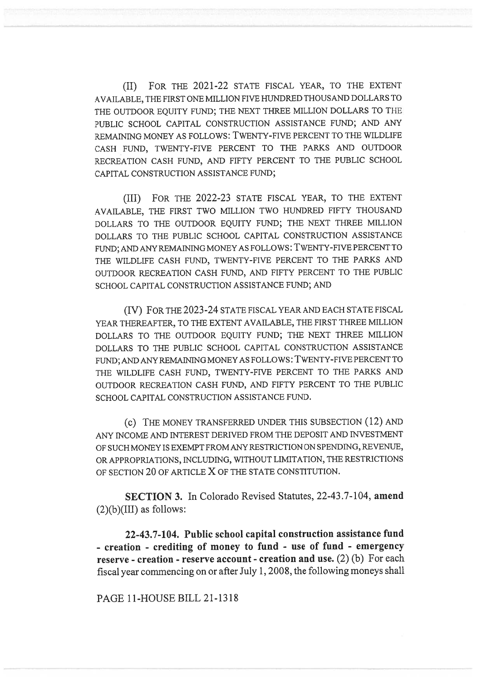(II) FOR THE 2021-22 STATE FISCAL YEAR, TO THE EXTENT AVAILABLE, THE FIRST ONE MILLION FIVE HUNDRED THOUSAND DOLLARS TO THE OUTDOOR EQUITY FUND; THE NEXT THREE MILLION DOLLARS TO THE PUBLIC SCHOOL CAPITAL CONSTRUCTION ASSISTANCE FUND; AND ANY REMAINING MONEY AS FOLLOWS: TWENTY-FIVE PERCENT TO THE WILDLIFE CASH FUND, TWENTY-FIVE PERCENT TO THE PARKS AND OUTDOOR RECREATION CASH FUND, AND FIFTY PERCENT TO THE PUBLIC SCHOOL CAPITAL CONSTRUCTION ASSISTANCE FUND;

(III) FOR THE 2022-23 STATE FISCAL YEAR, TO THE EXTENT AVAILABLE, THE FIRST TWO MILLION TWO HUNDRED FIFTY THOUSAND DOLLARS TO THE OUTDOOR EQUITY FUND; THE NEXT THREE MILLION DOLLARS TO THE PUBLIC SCHOOL CAPITAL CONSTRUCTION ASSISTANCE FUND; AND ANY REMAINING MONEY AS FOLLOWS : TWENTY-FIVE PERCENT TO THE WILDLIFE CASH FUND, TWENTY-FIVE PERCENT TO THE PARKS AND OUTDOOR RECREATION CASH FUND, AND FIFTY PERCENT TO THE PUBLIC SCHOOL CAPITAL CONSTRUCTION ASSISTANCE FUND; AND

(IV) FOR THE 2023-24 STATE FISCAL YEAR AND EACH STATE FISCAL YEAR THEREAFTER, TO THE EXTENT AVAILABLE, THE FIRST THREE MILLION DOLLARS TO THE OUTDOOR EQUITY FUND; THE NEXT THREE MILLION DOLLARS TO THE PUBLIC SCHOOL CAPITAL CONSTRUCTION ASSISTANCE FUND; AND ANY REMAINING MONEY AS FOLLOWS: TWENTY-FIVE PERCENT TO THE WILDLIFE CASH FUND, TWENTY-FIVE PERCENT TO THE PARKS AND OUTDOOR RECREATION CASH FUND, AND FIFTY PERCENT TO THE PUBLIC SCHOOL CAPITAL CONSTRUCTION ASSISTANCE FUND.

(c) THE MONEY TRANSFERRED UNDER THIS SUBSECTION (12) AND ANY INCOME AND INTEREST DERIVED FROM THE DEPOSIT AND INVESTMENT OF SUCH MONEY IS EXEMPT FROM ANY RESTRICTION ON SPENDING, REVENUE, OR APPROPRIATIONS, INCLUDING, WITHOUT LIMITATION, THE RESTRICTIONS OF SECTION 20 OF ARTICLE X OF THE STATE CONSTITUTION.

SECTION 3. In Colorado Revised Statutes, 22-43.7-104, amend  $(2)(b)(III)$  as follows:

22-43.7-104. Public school capital construction assistance fund - creation - crediting of money to fund - use of fund - emergency reserve - creation - reserve account - creation and use. (2) (b) For each fiscal year commencing on or after July 1, 2008, the following moneys shall

PAGE 11-HOUSE BILL 21-1318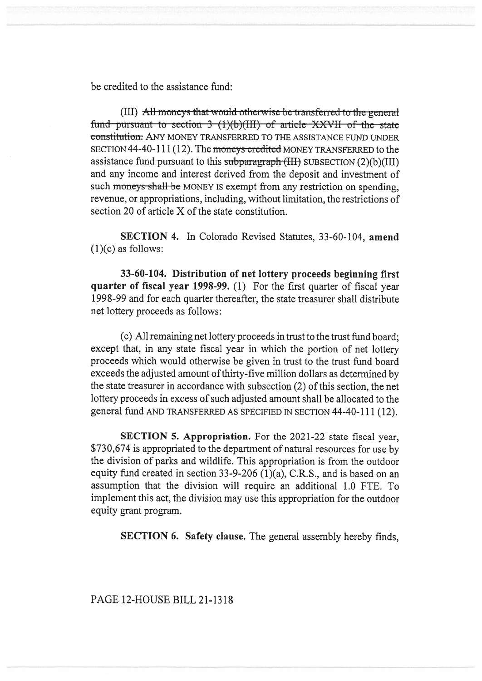be credited to the assistance fund:

(III) All moneys that would otherwise be transferred to the general fund pursuant to section  $3-(1)(b)(III)$  of article XXVII of the state constitution. ANY MONEY TRANSFERRED TO THE ASSISTANCE FUND UNDER SECTION 44-40-111 (12). The moneys credited MONEY TRANSFERRED to the assistance fund pursuant to this subparagraph  $(HH)$  SUBSECTION  $(2)(b)(III)$ and any income and interest derived from the deposit and investment of such moneys shall be MONEY IS exempt from any restriction on spending, revenue, or appropriations, including, without limitation, the restrictions of section 20 of article X of the state constitution.

SECTION 4. In Colorado Revised Statutes, 33-60-104, amend  $(1)(c)$  as follows:

33-60-104. Distribution of net lottery proceeds beginning first quarter of fiscal year 1998-99. (1) For the first quarter of fiscal year 1998-99 and for each quarter thereafter, the state treasurer shall distribute net lottery proceeds as follows:

(c) All remaining net lottery proceeds in trust to the trust fund board; except that, in any state fiscal year in which the portion of net lottery proceeds which would otherwise be given in trust to the trust fund board exceeds the adjusted amount of thirty-five million dollars as determined by the state treasurer in accordance with subsection (2) of this section, the net lottery proceeds in excess of such adjusted amount shall be allocated to the general fund AND TRANSFERRED AS SPECIFIED IN SECTION 44-40-111 (12).

SECTION 5. Appropriation. For the 2021-22 state fiscal year, \$730,674 is appropriated to the department of natural resources for use by the division of parks and wildlife. This appropriation is from the outdoor equity fund created in section 33-9-206 (1)(a), C.R.S., and is based on an assumption that the division will require an additional 1.0 FTE. To implement this act, the division may use this appropriation for the outdoor equity grant program.

SECTION 6. Safety clause. The general assembly hereby finds,

PAGE 12-HOUSE BILL 21-1318